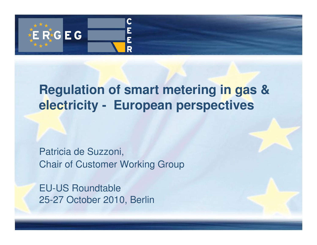

### **Regulation of smart metering in gas & electricity - European perspectives**

Patricia de Suzzoni, Chair of Customer Working Group

EU-US Roundtable25-27 October 2010, Berlin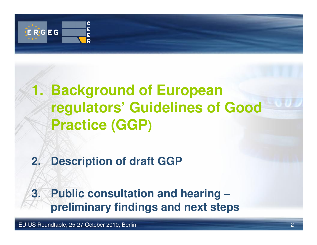

# **1. Background of European regulators' Guidelines of Good Practice (GGP)**

### **2. Description of draft GGP**

#### **3. Public consultation and hearing –preliminary findings and next steps**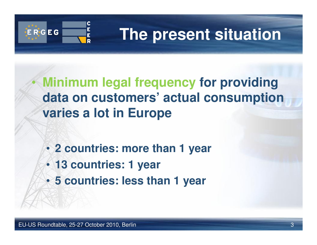

# **The present situation**

- • **Minimum legal frequency for providing data on customers' actual consumption varies a lot in Europe**
	- **2 countries: more than 1 year**
	- **13 countries: 1 year**
	- **5 countries: less than 1 year**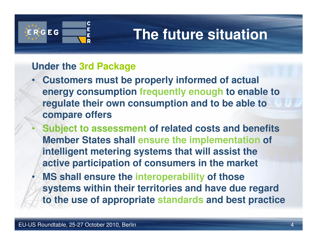

•

# **The future situation**

#### **Under the 3rd Package**

- • **Customers must be properly informed of actual energy consumption frequently enough to enable to regulate their own consumption and to be able to compare offers**
	- **Subject to assessment of related costs and benefits Member States shall ensure the implementation of intelligent metering systems that will assist the active participation of consumers in the market**
- • **MS shall ensure the interoperability of those systems within their territories and have due regard to the use of appropriate standards and best practice**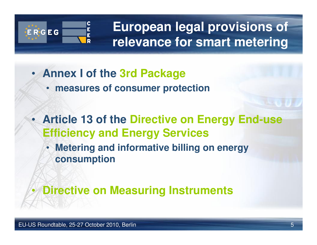

**European legal provisions of relevance for smart metering**

- **Annex I of the 3rd Package**
	- **measures of consumer protection**
- **Article 13 of the Directive on Energy End-use Efficiency and Energy Services**
	- **Metering and informative billing on energy consumption**

 $\bullet$ **Directive on Measuring Instruments**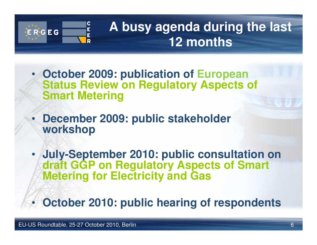

# **A busy agenda during the last 12 months**

- **October 2009: publication of European Status Review on Regulatory Aspects of Smart Metering**
- • **December 2009: public stakeholder workshop**
- • **July-September 2010: public consultation on draft GGP on Regulatory Aspects of Smart Metering for Electricity and Gas**

•**October 2010: public hearing of respondents**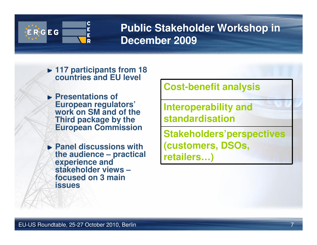

#### **Public Stakeholder Workshop in December 2009**

- **117 participants from 18 countries and EU level**
- **Presentations of European regulators' work on SM and of the Third package by the European Commission**
- **Panel discussions with the audience – practical experience and stakeholder views –focused on 3 main issues**

**Cost-benefit analysis**

**Interoperability and standardisation**

**Stakeholders'perspectives (customers, DSOs, retailers…)**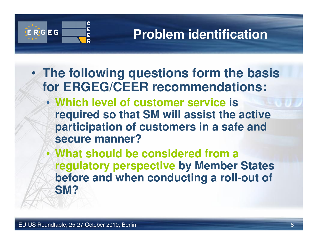

# **Problem identification**

- • **The following questions form the basis for ERGEG/CEER recommendations:**
	- **Which level of customer service is required so that SM will assist the active participation of customers in a safe and secure manner?**
	- **What should be considered from a**  •**regulatory perspective by Member States before and when conducting a roll-out of SM?**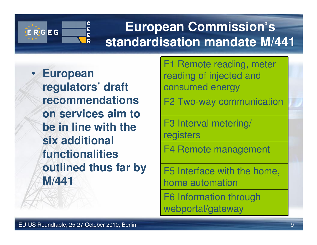

# **European Commission's standardisation mandate M/441**

• **European regulators' draft recommendations on services aim to be in line with the six additional functionalities outlined thus far by M/441**

F1 Remote reading, meter reading of injected and consumed energy

F2 Two-way communication

F3 Interval metering/ registers

F4 Remote management

F5 Interface with the home, home automation

F6 Information through webportal/gateway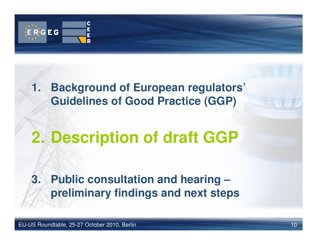

#### **1. Background of European regulators' Guidelines of Good Practice (GGP)**

# **2. Description of draft GGP**

#### **3. Public consultation and hearing –preliminary findings and next steps**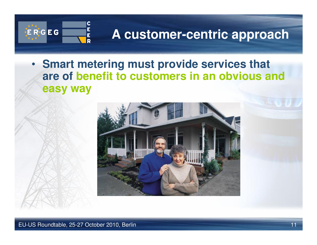

### **A customer-centric approach**

• **Smart metering must provide services that are of benefit to customers in an obvious and easy way**

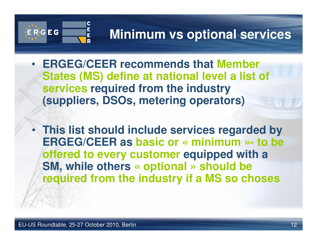

• **ERGEG/CEER recommends that Member States (MS) define at national level a list of services required from the industry (suppliers, DSOs, metering operators)** 

• **This list should include services regarded by ERGEG/CEER as basic or « minimum »- to be offered to every customer equipped with a SM, while others « optional » should be required from the industry if a MS so choses**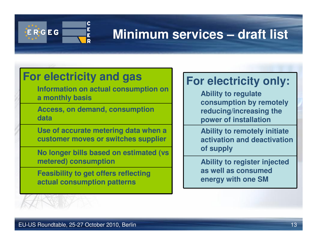

## **Minimum services – draft list**

#### **For electricity and gas**

 **Information on actual consumption on a monthly basis**

**Access, on demand, consumption data**

**Use of accurate metering data when a customer moves or switches supplier**

**No longer bills based on estimated (vs metered) consumption**

**Feasibility to get offers reflecting actual consumption patterns**

#### **For electricity only:**

**Ability to regulate consumption by remotely reducing/increasing the power of installation**

**Ability to remotely initiate activation and deactivation of supply**

**Ability to register injected as well as consumed energy with one SM**

EU-US Roundtable, 25-27 October 2010, Berlin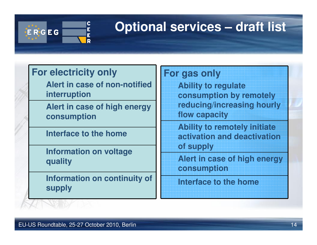

## **Optional services – draft list**

#### **For electricity only**

 **Alert in case of non-notified interruption**

**Alert in case of high energy consumption**

**Interface to the home**

**Information on voltage quality**

**Information on continuity of supply**

#### **For gas only**

 **Ability to regulate consumption by remotely reducing/increasing hourly flow capacity**

**Ability to remotely initiate activation and deactivation of supply**

**Alert in case of high energy consumption**

**Interface to the home**

EU-US Roundtable, 25-27 October 2010, Berlin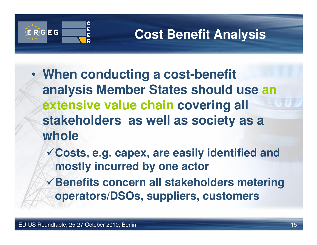

## **Cost Benefit Analysis**

- • **When conducting a cost-benefit analysis Member States should use an extensive value chain covering all stakeholders as well as society as a whole**
	- **Costs, e.g. capex, are easily identified and mostly incurred by one actor**
	- **Benefits concern all stakeholders metering operators/DSOs, suppliers, customers**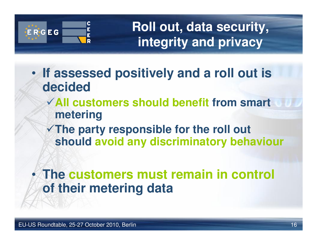

**Roll out, data security, integrity and privacy**

- • **If assessed positively and a roll out is decided**
	- **All customers should benefit from smart metering**
	- **The party responsible for the roll out should avoid any discriminatory behaviour**

#### • **The customers must remain in control of their metering data**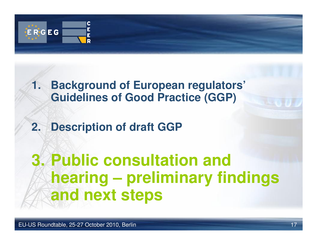

#### **1. Background of European regulators' Guidelines of Good Practice (GGP)**

#### **2. Description of draft GGP**

# **3. Public consultation and hearing – preliminary findings and next steps**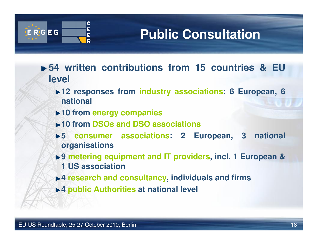

## **Public Consultation**

- **54 written contributions from 15 countries & EU level**
	- **12 responses from industry associations: 6 European, 6 national**
	- **10 from energy companies**
	- **10 from DSOs and DSO associations**
	- **5 consumer associations: 2 European, 3 national organisations**
	- **► 9 metering equipment and IT providers, incl. 1 European & 1 US association**
	- **4 research and consultancy, individuals and firms**
	- **4 public Authorities at national level**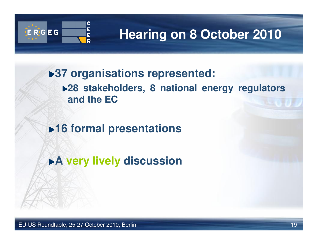

# **Hearing on 8 October 2010**

**37 organisations represented:28 stakeholders, 8 national energy regulators and the EC**

**16 formal presentations** 

**A very lively discussion**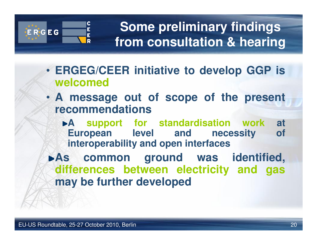

**Some preliminary findings from consultation & hearing**

- **ERGEG/CEER initiative to develop GGP is welcomed**
- **A message out of scope of the present recommendations** 
	- **A support for standardisation work at European level and necessity interoperability and open interfaces**
- **As common ground was identified, differences between electricity and gasmay be further developed**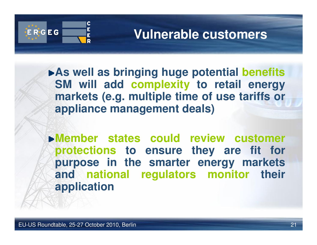

#### **Vulnerable customers**

**As well as bringing huge potential benefits SM will add complexity to retail energy markets (e.g. multiple time of use tariffs or appliance management deals)**

**Member states could review customer protections to ensure they are fit for purpose in the smarter energy markets and national regulators monitor their application**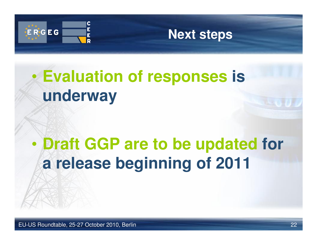

#### **Next steps**

#### $\bullet$  **Evaluation of responses is underway**

#### $\bullet$  **Draft GGP are to be updated for a release beginning of 2011**